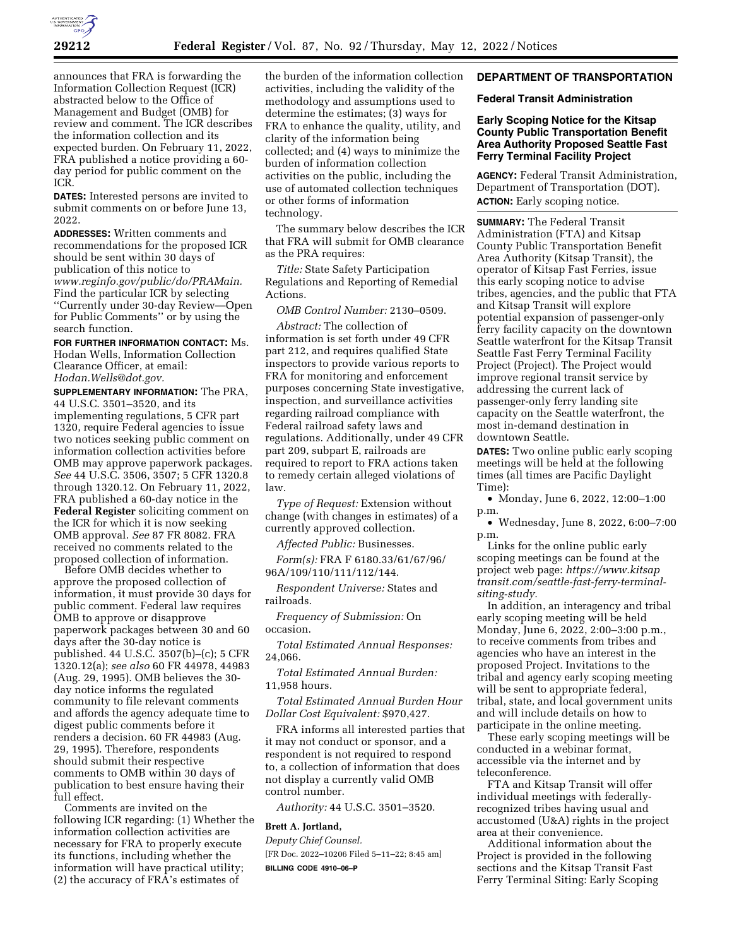

announces that FRA is forwarding the Information Collection Request (ICR) abstracted below to the Office of Management and Budget (OMB) for review and comment. The ICR describes the information collection and its expected burden. On February 11, 2022, FRA published a notice providing a 60 day period for public comment on the ICR.

**DATES:** Interested persons are invited to submit comments on or before June 13, 2022.

**ADDRESSES:** Written comments and recommendations for the proposed ICR should be sent within 30 days of publication of this notice to *[www.reginfo.gov/public/do/PRAMain.](http://www.reginfo.gov/public/do/PRAMain)*  Find the particular ICR by selecting ''Currently under 30-day Review—Open for Public Comments'' or by using the search function.

**FOR FURTHER INFORMATION CONTACT:** Ms. Hodan Wells, Information Collection Clearance Officer, at email: *[Hodan.Wells@dot.gov.](mailto:Hodan.Wells@dot.gov)* 

**SUPPLEMENTARY INFORMATION:** The PRA, 44 U.S.C. 3501–3520, and its implementing regulations, 5 CFR part 1320, require Federal agencies to issue two notices seeking public comment on information collection activities before OMB may approve paperwork packages. *See* 44 U.S.C. 3506, 3507; 5 CFR 1320.8 through 1320.12. On February 11, 2022, FRA published a 60-day notice in the **Federal Register** soliciting comment on the ICR for which it is now seeking OMB approval. *See* 87 FR 8082. FRA received no comments related to the proposed collection of information.

Before OMB decides whether to approve the proposed collection of information, it must provide 30 days for public comment. Federal law requires OMB to approve or disapprove paperwork packages between 30 and 60 days after the 30-day notice is published. 44 U.S.C. 3507(b)–(c); 5 CFR 1320.12(a); *see also* 60 FR 44978, 44983 (Aug. 29, 1995). OMB believes the 30 day notice informs the regulated community to file relevant comments and affords the agency adequate time to digest public comments before it renders a decision. 60 FR 44983 (Aug. 29, 1995). Therefore, respondents should submit their respective comments to OMB within 30 days of publication to best ensure having their full effect.

Comments are invited on the following ICR regarding: (1) Whether the information collection activities are necessary for FRA to properly execute its functions, including whether the information will have practical utility; (2) the accuracy of FRA's estimates of

the burden of the information collection activities, including the validity of the methodology and assumptions used to determine the estimates; (3) ways for FRA to enhance the quality, utility, and clarity of the information being collected; and (4) ways to minimize the burden of information collection activities on the public, including the use of automated collection techniques or other forms of information technology.

The summary below describes the ICR that FRA will submit for OMB clearance as the PRA requires:

*Title:* State Safety Participation Regulations and Reporting of Remedial Actions.

*OMB Control Number:* 2130–0509.

*Abstract:* The collection of information is set forth under 49 CFR part 212, and requires qualified State inspectors to provide various reports to FRA for monitoring and enforcement purposes concerning State investigative, inspection, and surveillance activities regarding railroad compliance with Federal railroad safety laws and regulations. Additionally, under 49 CFR part 209, subpart E, railroads are required to report to FRA actions taken to remedy certain alleged violations of law.

*Type of Request:* Extension without change (with changes in estimates) of a currently approved collection.

*Affected Public:* Businesses.

*Form(s):* FRA F 6180.33/61/67/96/ 96A/109/110/111/112/144.

*Respondent Universe:* States and railroads.

*Frequency of Submission:* On occasion.

*Total Estimated Annual Responses:*  24,066.

*Total Estimated Annual Burden:*  11,958 hours.

*Total Estimated Annual Burden Hour Dollar Cost Equivalent:* \$970,427.

FRA informs all interested parties that it may not conduct or sponsor, and a respondent is not required to respond to, a collection of information that does not display a currently valid OMB control number.

*Authority:* 44 U.S.C. 3501–3520.

## **Brett A. Jortland,**

*Deputy Chief Counsel.*  [FR Doc. 2022–10206 Filed 5–11–22; 8:45 am] **BILLING CODE 4910–06–P** 

## **DEPARTMENT OF TRANSPORTATION**

#### **Federal Transit Administration**

## **Early Scoping Notice for the Kitsap County Public Transportation Benefit Area Authority Proposed Seattle Fast Ferry Terminal Facility Project**

**AGENCY:** Federal Transit Administration, Department of Transportation (DOT). **ACTION:** Early scoping notice.

**SUMMARY:** The Federal Transit Administration (FTA) and Kitsap County Public Transportation Benefit Area Authority (Kitsap Transit), the operator of Kitsap Fast Ferries, issue this early scoping notice to advise tribes, agencies, and the public that FTA and Kitsap Transit will explore potential expansion of passenger-only ferry facility capacity on the downtown Seattle waterfront for the Kitsap Transit Seattle Fast Ferry Terminal Facility Project (Project). The Project would improve regional transit service by addressing the current lack of passenger-only ferry landing site capacity on the Seattle waterfront, the most in-demand destination in downtown Seattle.

**DATES:** Two online public early scoping meetings will be held at the following times (all times are Pacific Daylight Time):

• Monday, June 6, 2022, 12:00–1:00 p.m.

• Wednesday, June 8, 2022, 6:00–7:00 p.m.

Links for the online public early scoping meetings can be found at the project web page: *[https://www.kitsap](https://www.kitsaptransit.com/seattle-fast-ferry-terminal-siting-study) [transit.com/seattle-fast-ferry-terminal](https://www.kitsaptransit.com/seattle-fast-ferry-terminal-siting-study)[siting-study.](https://www.kitsaptransit.com/seattle-fast-ferry-terminal-siting-study)* 

In addition, an interagency and tribal early scoping meeting will be held Monday, June 6, 2022, 2:00–3:00 p.m., to receive comments from tribes and agencies who have an interest in the proposed Project. Invitations to the tribal and agency early scoping meeting will be sent to appropriate federal, tribal, state, and local government units and will include details on how to participate in the online meeting.

These early scoping meetings will be conducted in a webinar format, accessible via the internet and by teleconference.

FTA and Kitsap Transit will offer individual meetings with federallyrecognized tribes having usual and accustomed (U&A) rights in the project area at their convenience.

Additional information about the Project is provided in the following sections and the Kitsap Transit Fast Ferry Terminal Siting: Early Scoping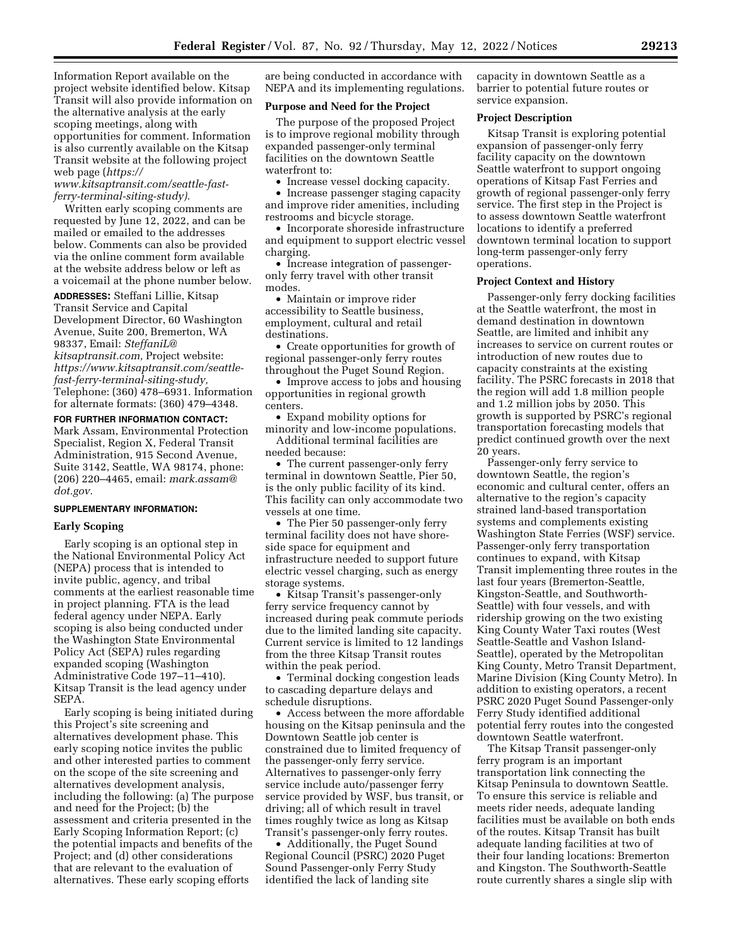Information Report available on the project website identified below. Kitsap Transit will also provide information on the alternative analysis at the early scoping meetings, along with opportunities for comment. Information is also currently available on the Kitsap Transit website at the following project web page (*[https://](https://www.kitsaptransit.com/seattle-fast-ferry-terminal-siting-study)*

*[www.kitsaptransit.com/seattle-fast](https://www.kitsaptransit.com/seattle-fast-ferry-terminal-siting-study)[ferry-terminal-siting-study\).](https://www.kitsaptransit.com/seattle-fast-ferry-terminal-siting-study)* 

Written early scoping comments are requested by June 12, 2022, and can be mailed or emailed to the addresses below. Comments can also be provided via the online comment form available at the website address below or left as a voicemail at the phone number below.

**ADDRESSES:** Steffani Lillie, Kitsap Transit Service and Capital Development Director, 60 Washington Avenue, Suite 200, Bremerton, WA 98337, Email: *[SteffaniL@](mailto:SteffaniL@kitsaptransit.com) [kitsaptransit.com,](mailto:SteffaniL@kitsaptransit.com)* Project website: *[https://www.kitsaptransit.com/seattle](https://www.kitsaptransit.com/seattle-fast-ferry-terminal-siting-study)[fast-ferry-terminal-siting-study,](https://www.kitsaptransit.com/seattle-fast-ferry-terminal-siting-study)*  Telephone: (360) 478–6931. Information for alternate formats: (360) 479–4348.

**FOR FURTHER INFORMATION CONTACT:**  Mark Assam, Environmental Protection Specialist, Region X, Federal Transit Administration, 915 Second Avenue, Suite 3142, Seattle, WA 98174, phone: (206) 220–4465, email: *[mark.assam@](mailto:mark.assam@dot.gov) [dot.gov.](mailto:mark.assam@dot.gov)* 

### **SUPPLEMENTARY INFORMATION:**

### **Early Scoping**

Early scoping is an optional step in the National Environmental Policy Act (NEPA) process that is intended to invite public, agency, and tribal comments at the earliest reasonable time in project planning. FTA is the lead federal agency under NEPA. Early scoping is also being conducted under the Washington State Environmental Policy Act (SEPA) rules regarding expanded scoping (Washington Administrative Code 197–11–410). Kitsap Transit is the lead agency under SEPA.

Early scoping is being initiated during this Project's site screening and alternatives development phase. This early scoping notice invites the public and other interested parties to comment on the scope of the site screening and alternatives development analysis, including the following: (a) The purpose and need for the Project; (b) the assessment and criteria presented in the Early Scoping Information Report; (c) the potential impacts and benefits of the Project; and (d) other considerations that are relevant to the evaluation of alternatives. These early scoping efforts

are being conducted in accordance with NEPA and its implementing regulations.

### **Purpose and Need for the Project**

The purpose of the proposed Project is to improve regional mobility through expanded passenger-only terminal facilities on the downtown Seattle waterfront to:

• Increase vessel docking capacity.

• Increase passenger staging capacity and improve rider amenities, including restrooms and bicycle storage.

• Incorporate shoreside infrastructure and equipment to support electric vessel charging.

• Increase integration of passengeronly ferry travel with other transit modes.

• Maintain or improve rider accessibility to Seattle business, employment, cultural and retail destinations.

• Create opportunities for growth of regional passenger-only ferry routes throughout the Puget Sound Region.

• Improve access to jobs and housing opportunities in regional growth centers.

• Expand mobility options for minority and low-income populations.

Additional terminal facilities are needed because:

• The current passenger-only ferry terminal in downtown Seattle, Pier 50, is the only public facility of its kind. This facility can only accommodate two vessels at one time.

• The Pier 50 passenger-only ferry terminal facility does not have shoreside space for equipment and infrastructure needed to support future electric vessel charging, such as energy storage systems.

• Kitsap Transit's passenger-only ferry service frequency cannot by increased during peak commute periods due to the limited landing site capacity. Current service is limited to 12 landings from the three Kitsap Transit routes within the peak period.

• Terminal docking congestion leads to cascading departure delays and schedule disruptions.

• Access between the more affordable housing on the Kitsap peninsula and the Downtown Seattle job center is constrained due to limited frequency of the passenger-only ferry service. Alternatives to passenger-only ferry service include auto/passenger ferry service provided by WSF, bus transit, or driving; all of which result in travel times roughly twice as long as Kitsap Transit's passenger-only ferry routes.

• Additionally, the Puget Sound Regional Council (PSRC) 2020 Puget Sound Passenger-only Ferry Study identified the lack of landing site

capacity in downtown Seattle as a barrier to potential future routes or service expansion.

### **Project Description**

Kitsap Transit is exploring potential expansion of passenger-only ferry facility capacity on the downtown Seattle waterfront to support ongoing operations of Kitsap Fast Ferries and growth of regional passenger-only ferry service. The first step in the Project is to assess downtown Seattle waterfront locations to identify a preferred downtown terminal location to support long-term passenger-only ferry operations.

#### **Project Context and History**

Passenger-only ferry docking facilities at the Seattle waterfront, the most in demand destination in downtown Seattle, are limited and inhibit any increases to service on current routes or introduction of new routes due to capacity constraints at the existing facility. The PSRC forecasts in 2018 that the region will add 1.8 million people and 1.2 million jobs by 2050. This growth is supported by PSRC's regional transportation forecasting models that predict continued growth over the next 20 years.

Passenger-only ferry service to downtown Seattle, the region's economic and cultural center, offers an alternative to the region's capacity strained land-based transportation systems and complements existing Washington State Ferries (WSF) service. Passenger-only ferry transportation continues to expand, with Kitsap Transit implementing three routes in the last four years (Bremerton-Seattle, Kingston-Seattle, and Southworth-Seattle) with four vessels, and with ridership growing on the two existing King County Water Taxi routes (West Seattle-Seattle and Vashon Island-Seattle), operated by the Metropolitan King County, Metro Transit Department, Marine Division (King County Metro). In addition to existing operators, a recent PSRC 2020 Puget Sound Passenger-only Ferry Study identified additional potential ferry routes into the congested downtown Seattle waterfront.

The Kitsap Transit passenger-only ferry program is an important transportation link connecting the Kitsap Peninsula to downtown Seattle. To ensure this service is reliable and meets rider needs, adequate landing facilities must be available on both ends of the routes. Kitsap Transit has built adequate landing facilities at two of their four landing locations: Bremerton and Kingston. The Southworth-Seattle route currently shares a single slip with